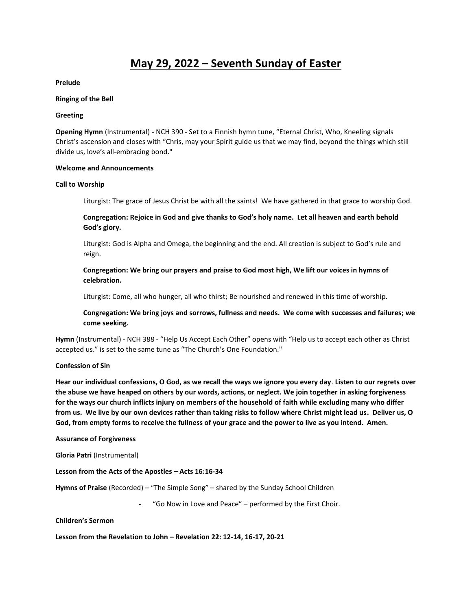# **May 29, 2022 – Seventh Sunday of Easter**

**Prelude**

## **Ringing of the Bell**

## **Greeting**

**Opening Hymn** (Instrumental) - NCH 390 - Set to a Finnish hymn tune, "Eternal Christ, Who, Kneeling signals Christ's ascension and closes with "Chris, may your Spirit guide us that we may find, beyond the things which still divide us, love's all-embracing bond."

## **Welcome and Announcements**

## **Call to Worship**

Liturgist: The grace of Jesus Christ be with all the saints! We have gathered in that grace to worship God.

# **Congregation: Rejoice in God and give thanks to God's holy name. Let all heaven and earth behold God's glory.**

Liturgist: God is Alpha and Omega, the beginning and the end. All creation is subject to God's rule and reign.

**Congregation: We bring our prayers and praise to God most high, We lift our voices in hymns of celebration.**

Liturgist: Come, all who hunger, all who thirst; Be nourished and renewed in this time of worship.

**Congregation: We bring joys and sorrows, fullness and needs. We come with successes and failures; we come seeking.** 

**Hymn** (Instrumental) - NCH 388 - "Help Us Accept Each Other" opens with "Help us to accept each other as Christ accepted us." is set to the same tune as "The Church's One Foundation."

## **Confession of Sin**

**Hear our individual confessions, O God, as we recall the ways we ignore you every day**. **Listen to our regrets over the abuse we have heaped on others by our words, actions, or neglect. We join together in asking forgiveness for the ways our church inflicts injury on members of the household of faith while excluding many who differ from us. We live by our own devices rather than taking risks to follow where Christ might lead us. Deliver us, O God, from empty forms to receive the fullness of your grace and the power to live as you intend. Amen.** 

#### **Assurance of Forgiveness**

**Gloria Patri** (Instrumental)

## **Lesson from the Acts of the Apostles – Acts 16:16-34**

**Hymns of Praise** (Recorded) – "The Simple Song" – shared by the Sunday School Children

"Go Now in Love and Peace" – performed by the First Choir.

**Children's Sermon**

**Lesson from the Revelation to John – Revelation 22: 12-14, 16-17, 20-21**